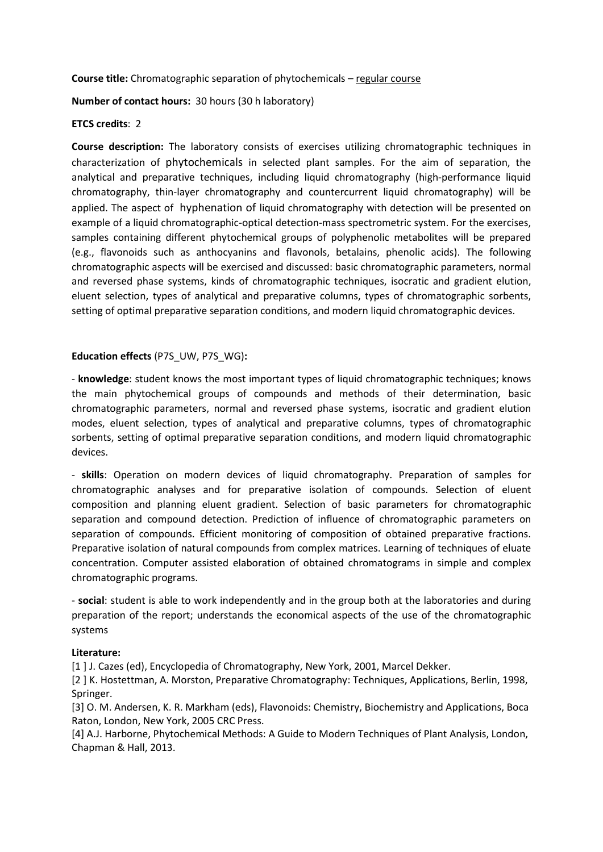Course title: Chromatographic separation of phytochemicals – regular course

Number of contact hours: 30 hours (30 h laboratory)

## ETCS credits: 2

Course description: The laboratory consists of exercises utilizing chromatographic techniques in characterization of phytochemicals in selected plant samples. For the aim of separation, the analytical and preparative techniques, including liquid chromatography (high-performance liquid chromatography, thin-layer chromatography and countercurrent liquid chromatography) will be applied. The aspect of hyphenation of liquid chromatography with detection will be presented on example of a liquid chromatographic-optical detection-mass spectrometric system. For the exercises, samples containing different phytochemical groups of polyphenolic metabolites will be prepared (e.g., flavonoids such as anthocyanins and flavonols, betalains, phenolic acids). The following chromatographic aspects will be exercised and discussed: basic chromatographic parameters, normal and reversed phase systems, kinds of chromatographic techniques, isocratic and gradient elution, eluent selection, types of analytical and preparative columns, types of chromatographic sorbents, setting of optimal preparative separation conditions, and modern liquid chromatographic devices.

## Education effects (P7S\_UW, P7S\_WG):

- knowledge: student knows the most important types of liquid chromatographic techniques; knows the main phytochemical groups of compounds and methods of their determination, basic chromatographic parameters, normal and reversed phase systems, isocratic and gradient elution modes, eluent selection, types of analytical and preparative columns, types of chromatographic sorbents, setting of optimal preparative separation conditions, and modern liquid chromatographic devices.

- skills: Operation on modern devices of liquid chromatography. Preparation of samples for chromatographic analyses and for preparative isolation of compounds. Selection of eluent composition and planning eluent gradient. Selection of basic parameters for chromatographic separation and compound detection. Prediction of influence of chromatographic parameters on separation of compounds. Efficient monitoring of composition of obtained preparative fractions. Preparative isolation of natural compounds from complex matrices. Learning of techniques of eluate concentration. Computer assisted elaboration of obtained chromatograms in simple and complex chromatographic programs.

- social: student is able to work independently and in the group both at the laboratories and during preparation of the report; understands the economical aspects of the use of the chromatographic systems

## Literature:

[1 ] J. Cazes (ed), Encyclopedia of Chromatography, New York, 2001, Marcel Dekker.

[2 ] K. Hostettman, A. Morston, Preparative Chromatography: Techniques, Applications, Berlin, 1998, Springer.

[3] O. M. Andersen, K. R. Markham (eds), Flavonoids: Chemistry, Biochemistry and Applications, Boca Raton, London, New York, 2005 CRC Press.

[4] A.J. Harborne, Phytochemical Methods: A Guide to Modern Techniques of Plant Analysis, London, Chapman & Hall, 2013.